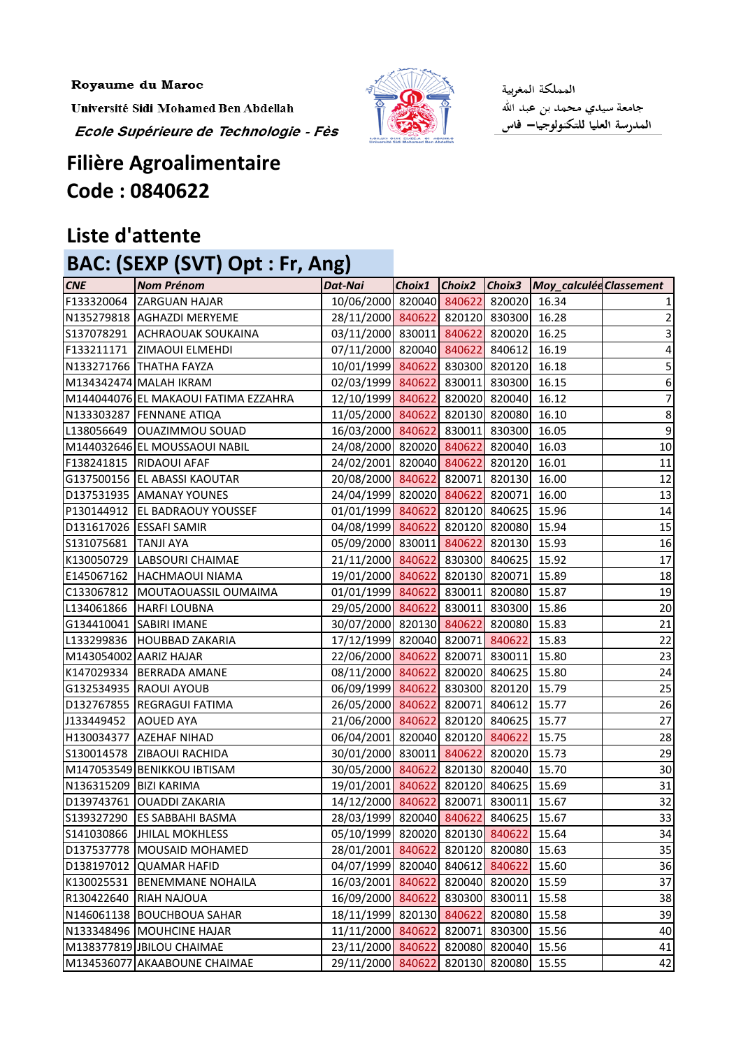Royaume du Maroc

Université Sidi Mohamed Ben Abdellah

Ecole Supérieure de Technologie - Fès



المملكة المغربية جامعة سيدي محمد بن عبد الله المدرسة العليا للتكنولوجيا— فاس

## **Filière Agroalimentaire Code : 0840622**

## **Liste d'attente**

## **BAC: (SEXP (SVT) Opt : Fr, Ang)**

| <b>CNE</b>               | <b>Nom Prénom</b>                    | Dat-Nai                               |  |               | Choix1 Choix2 Choix3 Moy_calculédClassement |                  |
|--------------------------|--------------------------------------|---------------------------------------|--|---------------|---------------------------------------------|------------------|
|                          | F133320064 ZARGUAN HAJAR             | 10/06/2000 820040 840622 820020       |  |               | 16.34                                       |                  |
|                          | N135279818 AGHAZDI MERYEME           | 28/11/2000 840622 820120 830300       |  |               | 16.28                                       | $\overline{2}$   |
|                          | S137078291 ACHRAOUAK SOUKAINA        | 03/11/2000 830011 840622 820020       |  |               | 16.25                                       | 3                |
|                          | F133211171 ZIMAOUI ELMEHDI           | 07/11/2000 820040 840622 840612       |  |               | 16.19                                       | 4                |
|                          | N133271766 THATHA FAYZA              | 10/01/1999 840622 830300 820120       |  |               | 16.18                                       | 5                |
|                          | M134342474 MALAH IKRAM               | 02/03/1999 840622 830011 830300       |  |               | 16.15                                       | 6                |
|                          | M144044076 EL MAKAOUI FATIMA EZZAHRA | 12/10/1999 840622 820020 820040       |  |               | 16.12                                       | $\overline{7}$   |
|                          | N133303287 FENNANE ATIQA             | 11/05/2000 840622 820130 820080       |  |               | 16.10                                       | $\bf 8$          |
|                          | L138056649   OUAZIMMOU SOUAD         | 16/03/2000 840622 830011 830300       |  |               | 16.05                                       | $\boldsymbol{9}$ |
|                          | M144032646 EL MOUSSAOUI NABIL        | 24/08/2000 820020 840622 820040       |  |               | 16.03                                       | $10\,$           |
|                          | F138241815 RIDAOUI AFAF              | 24/02/2001 820040 840622 820120       |  |               | 16.01                                       | 11               |
|                          | G137500156 EL ABASSI KAOUTAR         | 20/08/2000 840622 820071 820130       |  |               | 16.00                                       | 12               |
|                          | D137531935 AMANAY YOUNES             | 24/04/1999 820020 840622 820071       |  |               | 16.00                                       | 13               |
|                          | P130144912  EL BADRAOUY YOUSSEF      | 01/01/1999 840622 820120 840625       |  |               | 15.96                                       | 14               |
|                          | D131617026 ESSAFI SAMIR              | 04/08/1999 840622 820120 820080       |  |               | 15.94                                       | 15               |
| S131075681   TANJI AYA   |                                      | 05/09/2000 830011 840622 820130       |  |               | 15.93                                       | 16               |
|                          | K130050729  LABSOURI CHAIMAE         | 21/11/2000 840622 830300 840625       |  |               | 15.92                                       | 17               |
| E145067162               | <b>HACHMAOUI NIAMA</b>               | 19/01/2000 840622 820130 820071       |  |               | 15.89                                       | 18               |
|                          | C133067812 MOUTAOUASSIL OUMAIMA      | 01/01/1999 840622 830011 820080       |  |               | 15.87                                       | 19               |
| L134061866               | <b>HARFI LOUBNA</b>                  | 29/05/2000 840622 830011 830300       |  |               | 15.86                                       | 20               |
|                          | G134410041 SABIRI IMANE              | 30/07/2000 820130 840622 820080       |  |               | 15.83                                       | 21               |
|                          | L133299836 HOUBBAD ZAKARIA           | 17/12/1999 820040 820071 840622       |  |               | 15.83                                       | 22               |
|                          | M143054002 AARIZ HAJAR               | 22/06/2000 840622 820071 830011       |  |               | 15.80                                       | 23               |
|                          | K147029334 BERRADA AMANE             | 08/11/2000 840622 820020 840625       |  |               | 15.80                                       | 24               |
|                          | G132534935 RAOUI AYOUB               | 06/09/1999 840622 830300 820120       |  |               | 15.79                                       | 25               |
|                          | D132767855 REGRAGUI FATIMA           | 26/05/2000 840622 820071 840612       |  |               | 15.77                                       | 26               |
| J133449452               | <b>AOUED AYA</b>                     | 21/06/2000 840622 820120 840625       |  |               | 15.77                                       | 27               |
| H130034377               | <b>AZEHAF NIHAD</b>                  | 06/04/2001 820040 820120 840622       |  |               | 15.75                                       | 28               |
|                          | S130014578 ZIBAOUI RACHIDA           | 30/01/2000 830011 840622 820020       |  |               | 15.73                                       | 29               |
|                          | M147053549 BENIKKOU IBTISAM          | 30/05/2000 840622 820130 820040       |  |               | 15.70                                       | 30               |
| N136315209   BIZI KARIMA |                                      | 19/01/2001 840622 820120 840625 15.69 |  |               |                                             | 31               |
|                          | D139743761 OUADDI ZAKARIA            | 14/12/2000 840622 820071 830011       |  |               | 15.67                                       | 32               |
|                          | S139327290 ES SABBAHI BASMA          | 28/03/1999 820040 840622 840625       |  |               | 15.67                                       | 33               |
|                          | S141030866 JHILAL MOKHLESS           | 05/10/1999 820020 820130 840622       |  |               | 15.64                                       | 34               |
|                          | D137537778   MOUSAID MOHAMED         | 28/01/2001 840622                     |  | 820120 820080 | 15.63                                       | 35               |
|                          | D138197012 QUAMAR HAFID              | 04/07/1999 820040                     |  | 840612 840622 | 15.60                                       | 36               |
| K130025531               | <b>BENEMMANE NOHAILA</b>             | 16/03/2001 840622                     |  | 820040 820020 | 15.59                                       | 37               |
|                          | R130422640 RIAH NAJOUA               | 16/09/2000 840622                     |  | 830300 830011 | 15.58                                       | 38               |
|                          | N146061138 BOUCHBOUA SAHAR           | 18/11/1999 820130 840622 820080       |  |               | 15.58                                       | 39               |
|                          | N133348496 MOUHCINE HAJAR            | 11/11/2000 840622                     |  | 820071 830300 | 15.56                                       | 40               |
|                          | M138377819 JBILOU CHAIMAE            | 23/11/2000 840622                     |  | 820080 820040 | 15.56                                       | 41               |
|                          | M134536077 AKAABOUNE CHAIMAE         | 29/11/2000 840622                     |  | 820130 820080 | 15.55                                       | 42               |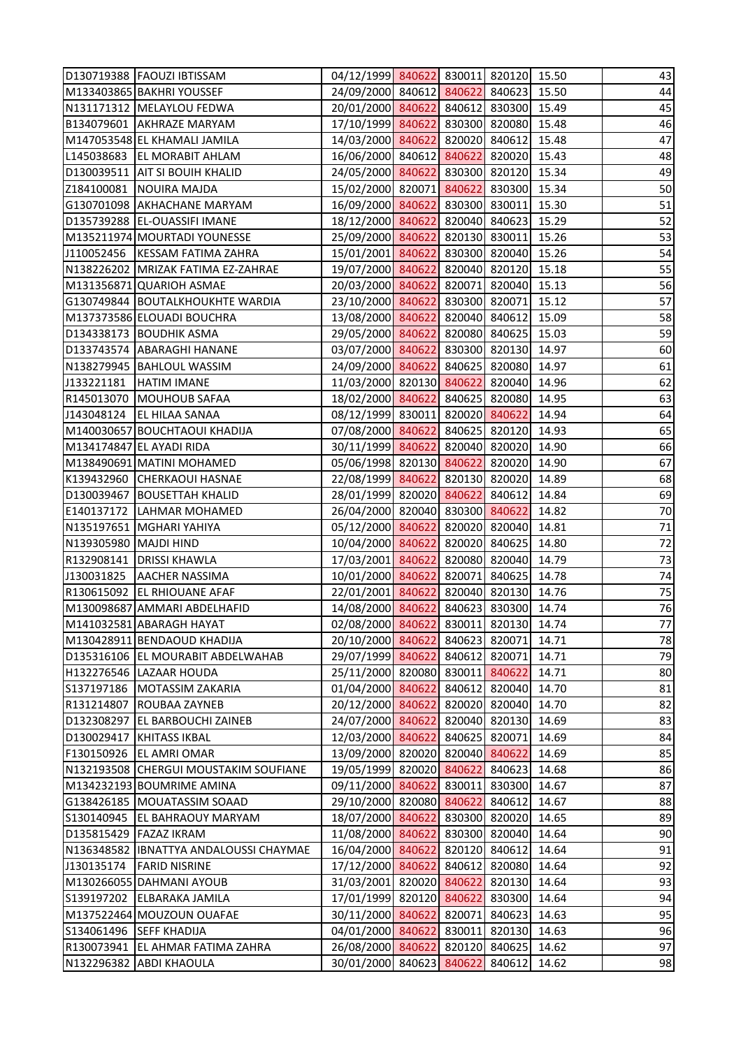|                       | D130719388 FAOUZI IBTISSAM             | 04/12/1999 840622 830011 820120 15.50 |        |               |       | 43 |
|-----------------------|----------------------------------------|---------------------------------------|--------|---------------|-------|----|
|                       | M133403865 BAKHRI YOUSSEF              | 24/09/2000 840612 840622 840623 15.50 |        |               |       | 44 |
|                       | N131171312   MELAYLOU FEDWA            | 20/01/2000 840622 840612 830300 15.49 |        |               |       | 45 |
|                       | B134079601 AKHRAZE MARYAM              | 17/10/1999 840622 830300 820080       |        |               | 15.48 | 46 |
|                       | M147053548 EL KHAMALI JAMILA           | 14/03/2000 840622 820020 840612 15.48 |        |               |       | 47 |
|                       | L145038683   EL MORABIT AHLAM          | 16/06/2000 840612 840622 820020 15.43 |        |               |       | 48 |
|                       | D130039511 AIT SI BOUIH KHALID         | 24/05/2000 840622 830300 820120 15.34 |        |               |       | 49 |
|                       | Z184100081 NOUIRA MAJDA                | 15/02/2000 820071 840622 830300 15.34 |        |               |       | 50 |
|                       | G130701098 AKHACHANE MARYAM            | 16/09/2000 840622 830300 830011       |        |               | 15.30 | 51 |
|                       | D135739288 EL-OUASSIFI IMANE           | 18/12/2000 840622 820040 840623 15.29 |        |               |       | 52 |
|                       | M135211974 MOURTADI YOUNESSE           | 25/09/2000 840622 820130 830011 15.26 |        |               |       | 53 |
|                       | J110052456   KESSAM FATIMA ZAHRA       | 15/01/2001 840622 830300 820040 15.26 |        |               |       | 54 |
|                       | N138226202 MRIZAK FATIMA EZ-ZAHRAE     | 19/07/2000 840622 820040 820120 15.18 |        |               |       | 55 |
|                       | M131356871 QUARIOH ASMAE               | 20/03/2000 840622 820071 820040 15.13 |        |               |       | 56 |
|                       | G130749844 BOUTALKHOUKHTE WARDIA       | 23/10/2000 840622 830300 820071 15.12 |        |               |       | 57 |
|                       | M137373586 ELOUADI BOUCHRA             | 13/08/2000 840622 820040 840612 15.09 |        |               |       | 58 |
|                       | D134338173 BOUDHIK ASMA                | 29/05/2000 840622 820080 840625 15.03 |        |               |       | 59 |
|                       | D133743574 ABARAGHI HANANE             | 03/07/2000 840622 830300 820130 14.97 |        |               |       | 60 |
|                       | N138279945 BAHLOUL WASSIM              | 24/09/2000 840622 840625 820080 14.97 |        |               |       | 61 |
| J133221181            | <b>HATIM IMANE</b>                     | 11/03/2000 820130 840622 820040 14.96 |        |               |       | 62 |
|                       | R145013070 MOUHOUB SAFAA               | 18/02/2000 840622 840625 820080 14.95 |        |               |       | 63 |
| J143048124            | <b>EL HILAA SANAA</b>                  | 08/12/1999 830011 820020 840622       |        |               | 14.94 | 64 |
|                       | M140030657 BOUCHTAOUI KHADIJA          | 07/08/2000 840622 840625 820120 14.93 |        |               |       | 65 |
|                       | M134174847 EL AYADI RIDA               | 30/11/1999 840622 820040 820020 14.90 |        |               |       | 66 |
|                       | M138490691 MATINI MOHAMED              | 05/06/1998 820130 840622 820020 14.90 |        |               |       | 67 |
|                       | K139432960 CHERKAOUI HASNAE            | 22/08/1999 840622 820130 820020 14.89 |        |               |       | 68 |
|                       | D130039467 BOUSETTAH KHALID            | 28/01/1999 820020 840622 840612       |        |               | 14.84 | 69 |
|                       | E140137172   LAHMAR MOHAMED            | 26/04/2000 820040 830300 840622       |        |               | 14.82 | 70 |
|                       | N135197651 MGHARI YAHIYA               | 05/12/2000 840622 820020 820040 14.81 |        |               |       | 71 |
| N139305980 MAJDI HIND |                                        | 10/04/2000 840622 820020 840625 14.80 |        |               |       | 72 |
|                       | R132908141 DRISSI KHAWLA               | 17/03/2001 840622 820080 820040 14.79 |        |               |       | 73 |
|                       | J130031825   AACHER NASSIMA            | 10/01/2000 840622 820071 840625 14.78 |        |               |       | 74 |
|                       | R130615092 EL RHIOUANE AFAF            | 22/01/2001 840622 820040 820130       |        |               | 14.76 | 75 |
|                       | M130098687 AMMARI ABDELHAFID           | 14/08/2000 840622 840623 830300       |        |               | 14.74 | 76 |
|                       | M141032581 ABARAGH HAYAT               | 02/08/2000 840622 830011 820130       |        |               | 14.74 | 77 |
|                       | M130428911 BENDAOUD KHADIJA            | 20/10/2000 840622                     |        | 840623 820071 | 14.71 | 78 |
|                       | D135316106 EL MOURABIT ABDELWAHAB      | 29/07/1999 840622                     |        | 840612 820071 | 14.71 | 79 |
|                       | H132276546 LAZAAR HOUDA                | 25/11/2000 820080 830011 840622       |        |               | 14.71 | 80 |
| S137197186            | MOTASSIM ZAKARIA                       | 01/04/2000 840622                     |        | 840612 820040 | 14.70 | 81 |
| R131214807            | <b>ROUBAA ZAYNEB</b>                   | 20/12/2000 840622 820020 820040       |        |               | 14.70 | 82 |
| D132308297            | <b>EL BARBOUCHI ZAINEB</b>             | 24/07/2000 840622 820040 820130       |        |               | 14.69 | 83 |
| D130029417            | KHITASS IKBAL                          | 12/03/2000 840622 840625 820071       |        |               | 14.69 | 84 |
|                       | F130150926 EL AMRI OMAR                | 13/09/2000 820020 820040 840622       |        |               | 14.69 | 85 |
|                       | N132193508 CHERGUI MOUSTAKIM SOUFIANE  | 19/05/1999 820020 840622 840623       |        |               | 14.68 | 86 |
|                       | M134232193 BOUMRIME AMINA              | 09/11/2000 840622 830011 830300       |        |               | 14.67 | 87 |
|                       | G138426185   MOUATASSIM SOAAD          | 29/10/2000 820080 840622 840612       |        |               | 14.67 | 88 |
| S130140945            | <b>EL BAHRAOUY MARYAM</b>              | 18/07/2000 840622 830300 820020       |        |               | 14.65 | 89 |
|                       | D135815429 FAZAZ IKRAM                 | 11/08/2000 840622                     |        | 830300 820040 | 14.64 | 90 |
|                       | N136348582 IBNATTYA ANDALOUSSI CHAYMAE | 16/04/2000 840622 820120 840612       |        |               | 14.64 | 91 |
| J130135174            | <b>FARID NISRINE</b>                   | 17/12/2000 840622 840612 820080       |        |               | 14.64 | 92 |
|                       | M130266055 DAHMANI AYOUB               | 31/03/2001 820020 840622 820130       |        |               | 14.64 | 93 |
| S139197202            | <b>ELBARAKA JAMILA</b>                 | 17/01/1999 820120 840622 830300       |        |               | 14.64 | 94 |
|                       | M137522464 MOUZOUN OUAFAE              | 30/11/2000 840622                     |        | 820071 840623 | 14.63 | 95 |
| S134061496            | <b>SEFF KHADIJA</b>                    | 04/01/2000 840622 830011 820130       |        |               | 14.63 | 96 |
| R130073941            | <b>EL AHMAR FATIMA ZAHRA</b>           | 26/08/2000 840622                     |        | 820120 840625 | 14.62 | 97 |
|                       | N132296382 ABDI KHAOULA                | 30/01/2000 840623                     | 840622 | 840612        | 14.62 | 98 |
|                       |                                        |                                       |        |               |       |    |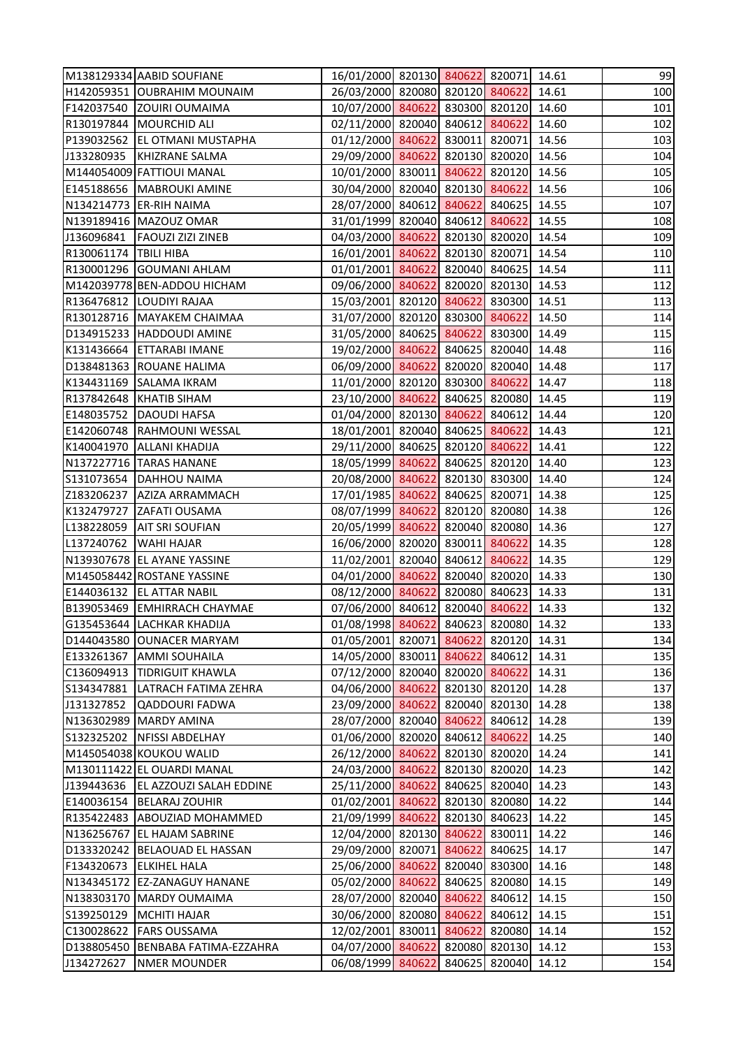|                         | M138129334 AABID SOUFIANE      | 16/01/2000 820130 840622 820071 14.61 |        |               |       | 99  |
|-------------------------|--------------------------------|---------------------------------------|--------|---------------|-------|-----|
|                         | H142059351 OUBRAHIM MOUNAIM    | 26/03/2000 820080 820120 840622 14.61 |        |               |       | 100 |
|                         | F142037540 ZOUIRI OUMAIMA      | 10/07/2000 840622 830300 820120 14.60 |        |               |       | 101 |
|                         | R130197844 MOURCHID ALI        | 02/11/2000 820040 840612 840622       |        |               | 14.60 | 102 |
|                         | P139032562 EL OTMANI MUSTAPHA  | 01/12/2000 840622 830011 820071       |        |               | 14.56 | 103 |
|                         | J133280935 KHIZRANE SALMA      | 29/09/2000 840622 820130 820020 14.56 |        |               |       | 104 |
|                         | M144054009 FATTIOUI MANAL      | 10/01/2000 830011 840622 820120 14.56 |        |               |       | 105 |
|                         | E145188656   MABROUKI AMINE    | 30/04/2000 820040 820130 840622       |        |               | 14.56 | 106 |
|                         | N134214773 ER-RIH NAIMA        | 28/07/2000 840612 840622 840625 14.55 |        |               |       | 107 |
|                         | N139189416 MAZOUZ OMAR         | 31/01/1999 820040 840612 840622       |        |               | 14.55 | 108 |
|                         | J136096841   FAOUZI ZIZI ZINEB | 04/03/2000 840622 820130 820020 14.54 |        |               |       | 109 |
| R130061174   TBILI HIBA |                                | 16/01/2001 840622 820130 820071       |        |               | 14.54 | 110 |
|                         | R130001296 GOUMANI AHLAM       | 01/01/2001 840622 820040 840625 14.54 |        |               |       | 111 |
|                         | M142039778 BEN-ADDOU HICHAM    | 09/06/2000 840622 820020 820130 14.53 |        |               |       | 112 |
|                         | R136476812 LOUDIYI RAJAA       | 15/03/2001 820120 840622 830300 14.51 |        |               |       | 113 |
|                         | R130128716 MAYAKEM CHAIMAA     | 31/07/2000 820120 830300 840622       |        |               | 14.50 | 114 |
|                         | D134915233 HADDOUDI AMINE      | 31/05/2000 840625 840622 830300 14.49 |        |               |       | 115 |
|                         | K131436664 ETTARABI IMANE      | 19/02/2000 840622 840625 820040       |        |               | 14.48 | 116 |
|                         | D138481363 ROUANE HALIMA       | 06/09/2000 840622 820020 820040 14.48 |        |               |       | 117 |
|                         | K134431169 SALAMA IKRAM        | 11/01/2000 820120 830300 840622       |        |               | 14.47 | 118 |
|                         | R137842648 KHATIB SIHAM        | 23/10/2000 840622 840625 820080 14.45 |        |               |       | 119 |
|                         | E148035752 DAOUDI HAFSA        | 01/04/2000 820130 840622 840612 14.44 |        |               |       | 120 |
|                         | E142060748 RAHMOUNI WESSAL     | 18/01/2001 820040 840625 840622       |        |               | 14.43 | 121 |
|                         | K140041970 ALLANI KHADIJA      | 29/11/2000 840625 820120 840622       |        |               | 14.41 | 122 |
|                         | N137227716 TARAS HANANE        | 18/05/1999 840622 840625 820120 14.40 |        |               |       | 123 |
|                         | S131073654 DAHHOU NAIMA        | 20/08/2000 840622 820130 830300       |        |               | 14.40 | 124 |
|                         | Z183206237 AZIZA ARRAMMACH     | 17/01/1985 840622 840625 820071       |        |               | 14.38 | 125 |
| K132479727              | ZAFATI OUSAMA                  | 08/07/1999 840622 820120 820080       |        |               | 14.38 | 126 |
| L138228059              | <b>AIT SRI SOUFIAN</b>         | 20/05/1999 840622 820040 820080       |        |               | 14.36 | 127 |
| L137240762              | <b>WAHI HAJAR</b>              | 16/06/2000 820020 830011 840622       |        |               | 14.35 | 128 |
|                         | N139307678 EL AYANE YASSINE    | 11/02/2001 820040 840612 840622 14.35 |        |               |       | 129 |
|                         | M145058442 ROSTANE YASSINE     | 04/01/2000 840622 820040 820020 14.33 |        |               |       | 130 |
|                         | E144036132 EL ATTAR NABIL      | 08/12/2000 840622 820080 840623       |        |               | 14.33 | 131 |
|                         | B139053469 EMHIRRACH CHAYMAE   | 07/06/2000 840612 820040 840622       |        |               | 14.33 | 132 |
|                         | G135453644 LACHKAR KHADIJA     | 01/08/1998 840622 840623 820080       |        |               | 14.32 | 133 |
| D144043580              | <b>JOUNACER MARYAM</b>         | 01/05/2001 820071 840622 820120       |        |               | 14.31 | 134 |
| E133261367              | <b>AMMI SOUHAILA</b>           | 14/05/2000 830011 840622 840612       |        |               | 14.31 | 135 |
| C136094913              | <b>TIDRIGUIT KHAWLA</b>        | 07/12/2000 820040 820020 840622       |        |               | 14.31 | 136 |
| S134347881              | LATRACH FATIMA ZEHRA           | 04/06/2000 840622                     |        | 820130 820120 | 14.28 | 137 |
| J131327852              | <b>QADDOURI FADWA</b>          | 23/09/2000 840622                     |        | 820040 820130 | 14.28 | 138 |
|                         | N136302989 MARDY AMINA         | 28/07/2000 820040 840622 840612       |        |               | 14.28 | 139 |
| S132325202              | <b>NFISSI ABDELHAY</b>         | 01/06/2000 820020 840612 840622       |        |               | 14.25 | 140 |
|                         | M145054038 KOUKOU WALID        | 26/12/2000 840622                     |        | 820130 820020 | 14.24 | 141 |
|                         | M130111422 EL OUARDI MANAL     | 24/03/2000 840622 820130 820020       |        |               | 14.23 | 142 |
| J139443636              | <b>EL AZZOUZI SALAH EDDINE</b> | 25/11/2000 840622 840625 820040       |        |               | 14.23 | 143 |
| E140036154              | <b>BELARAJ ZOUHIR</b>          | 01/02/2001 840622 820130 820080       |        |               | 14.22 | 144 |
|                         | R135422483 ABOUZIAD MOHAMMED   | 21/09/1999 840622 820130 840623       |        |               | 14.22 | 145 |
|                         | N136256767 EL HAJAM SABRINE    | 12/04/2000 820130 840622 830011       |        |               | 14.22 | 146 |
|                         | D133320242 BELAOUAD EL HASSAN  | 29/09/2000 820071 840622 840625       |        |               | 14.17 | 147 |
| F134320673              | <b>ELKIHEL HALA</b>            | 25/06/2000 840622                     |        | 820040 830300 | 14.16 | 148 |
| N134345172              | <b>EZ-ZANAGUY HANANE</b>       | 05/02/2000 840622                     |        | 840625 820080 | 14.15 | 149 |
|                         | N138303170 MARDY OUMAIMA       | 28/07/2000 820040 840622 840612       |        |               | 14.15 | 150 |
| S139250129              | MCHITI HAJAR                   | 30/06/2000 820080 840622              |        | 840612        | 14.15 | 151 |
| C130028622              | <b>FARS OUSSAMA</b>            | 12/02/2001 830011 840622              |        | 820080        | 14.14 | 152 |
| D138805450              | BENBABA FATIMA-EZZAHRA         | 04/07/2000 840622                     | 820080 | 820130        | 14.12 | 153 |
| J134272627              | <b>NMER MOUNDER</b>            | 06/08/1999 840622                     |        | 840625 820040 | 14.12 | 154 |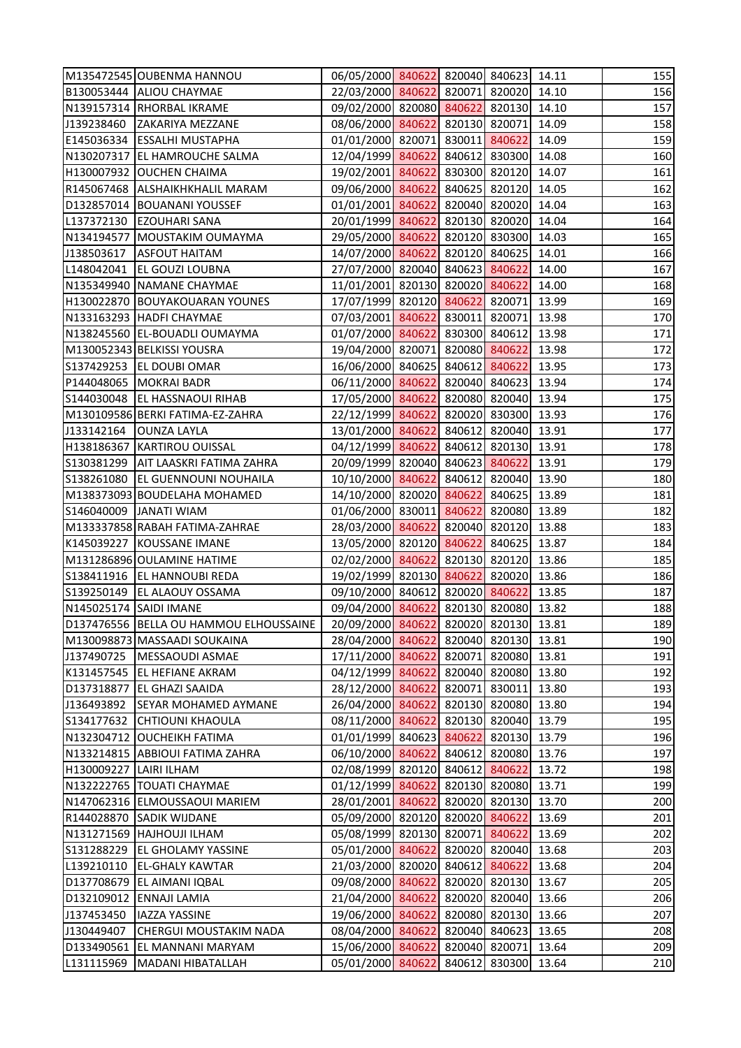|                        | M135472545 OUBENMA HANNOU              | 06/05/2000 840622 820040 840623 14.11 |               |               |       | 155 |
|------------------------|----------------------------------------|---------------------------------------|---------------|---------------|-------|-----|
|                        | B130053444 ALIOU CHAYMAE               | 22/03/2000 840622 820071 820020       |               |               | 14.10 | 156 |
|                        | N139157314 RHORBAL IKRAME              | 09/02/2000 820080 840622 820130       |               |               | 14.10 | 157 |
| J139238460             | <b>ZAKARIYA MEZZANE</b>                | 08/06/2000 840622 820130 820071       |               |               | 14.09 | 158 |
|                        | E145036334 ESSALHI MUSTAPHA            | 01/01/2000 820071 830011 840622       |               |               | 14.09 | 159 |
|                        | N130207317 EL HAMROUCHE SALMA          | 12/04/1999 840622 840612 830300       |               |               | 14.08 | 160 |
|                        | H130007932 OUCHEN CHAIMA               | 19/02/2001 840622 830300 820120       |               |               | 14.07 | 161 |
|                        | R145067468 ALSHAIKHKHALIL MARAM        | 09/06/2000 840622 840625 820120       |               |               | 14.05 | 162 |
|                        | D132857014 BOUANANI YOUSSEF            | 01/01/2001 840622 820040 820020       |               |               | 14.04 | 163 |
| L137372130             | <b>EZOUHARI SANA</b>                   | 20/01/1999 840622 820130 820020       |               |               | 14.04 | 164 |
|                        | N134194577 MOUSTAKIM OUMAYMA           | 29/05/2000 840622 820120 830300       |               |               | 14.03 | 165 |
| J138503617             | <b>ASFOUT HAITAM</b>                   | 14/07/2000 840622 820120 840625       |               |               | 14.01 | 166 |
| L148042041             | <b>EL GOUZI LOUBNA</b>                 | 27/07/2000 820040 840623 840622       |               |               | 14.00 | 167 |
|                        | N135349940 NAMANE CHAYMAE              | 11/01/2001 820130 820020 840622       |               |               | 14.00 | 168 |
|                        | H130022870 BOUYAKOUARAN YOUNES         | 17/07/1999 820120 840622 820071       |               |               | 13.99 | 169 |
|                        | N133163293 HADFI CHAYMAE               | 07/03/2001 840622 830011 820071       |               |               | 13.98 | 170 |
|                        | N138245560 EL-BOUADLI OUMAYMA          | 01/07/2000 840622 830300 840612       |               |               | 13.98 | 171 |
|                        | M130052343 BELKISSI YOUSRA             | 19/04/2000 820071 820080 840622       |               |               | 13.98 | 172 |
|                        | S137429253 EL DOUBI OMAR               | 16/06/2000 840625 840612 840622       |               |               | 13.95 | 173 |
|                        | P144048065 MOKRAI BADR                 | 06/11/2000 840622 820040 840623       |               |               | 13.94 | 174 |
|                        | S144030048 EL HASSNAOUI RIHAB          | 17/05/2000 840622 820080 820040       |               |               | 13.94 | 175 |
|                        | M130109586 BERKI FATIMA-EZ-ZAHRA       | 22/12/1999 840622 820020 830300       |               |               | 13.93 | 176 |
| J133142164             | <b>OUNZA LAYLA</b>                     | 13/01/2000 840622 840612 820040       |               |               | 13.91 | 177 |
|                        | H138186367 KARTIROU OUISSAL            | 04/12/1999 840622 840612 820130       |               |               | 13.91 | 178 |
| S130381299             | <b>AIT LAASKRI FATIMA ZAHRA</b>        | 20/09/1999 820040 840623 840622       |               |               | 13.91 | 179 |
|                        | S138261080 EL GUENNOUNI NOUHAILA       | 10/10/2000 840622 840612 820040       |               |               | 13.90 | 180 |
|                        | M138373093 BOUDELAHA MOHAMED           | 14/10/2000 820020 840622 840625       |               |               | 13.89 | 181 |
|                        | S146040009 JANATI WIAM                 | 01/06/2000 830011 840622 820080       |               |               | 13.89 | 182 |
|                        | M133337858 RABAH FATIMA-ZAHRAE         | 28/03/2000 840622 820040 820120       |               |               | 13.88 | 183 |
|                        | K145039227 KOUSSANE IMANE              | 13/05/2000 820120 840622 840625       |               |               | 13.87 | 184 |
|                        | M131286896 OULAMINE HATIME             | 02/02/2000 840622 820130 820120 13.86 |               |               |       | 185 |
|                        | S138411916   EL HANNOUBI REDA          | 19/02/1999 820130 840622 820020 13.86 |               |               |       | 186 |
| S139250149             | <b>EL ALAOUY OSSAMA</b>                | 09/10/2000 840612 820020 840622       |               |               | 13.85 | 187 |
| N145025174 SAIDI IMANE |                                        | 09/04/2000 840622 820130 820080       |               |               | 13.82 | 188 |
|                        | D137476556 BELLA OU HAMMOU ELHOUSSAINE | 20/09/2000 840622 820020 820130       |               |               | 13.81 | 189 |
|                        | M130098873 MASSAADI SOUKAINA           | 28/04/2000 840622 820040 820130       |               |               | 13.81 | 190 |
| J137490725             | MESSAOUDI ASMAE                        | 17/11/2000 840622 820071 820080       |               |               | 13.81 | 191 |
|                        | K131457545 EL HEFIANE AKRAM            | 04/12/1999 840622 820040 820080       |               |               | 13.80 | 192 |
| D137318877             | <b>EL GHAZI SAAIDA</b>                 | 28/12/2000 840622 820071 830011       |               |               | 13.80 | 193 |
| J136493892             | <b>SEYAR MOHAMED AYMANE</b>            | 26/04/2000 840622 820130 820080       |               |               | 13.80 | 194 |
| S134177632             | <b>CHTIOUNI KHAOULA</b>                | 08/11/2000 840622 820130 820040       |               |               | 13.79 | 195 |
|                        | N132304712 OUCHEIKH FATIMA             | 01/01/1999 840623 840622 820130       |               |               | 13.79 | 196 |
|                        | N133214815 ABBIOUI FATIMA ZAHRA        | 06/10/2000 840622 840612 820080       |               |               | 13.76 | 197 |
| H130009227 LAIRI ILHAM |                                        | 02/08/1999 820120 840612 840622       |               |               | 13.72 | 198 |
|                        | N132222765  TOUATI CHAYMAE             | 01/12/1999 840622 820130 820080       |               |               | 13.71 | 199 |
|                        | N147062316 ELMOUSSAOUI MARIEM          | 28/01/2001 840622 820020 820130       |               |               | 13.70 | 200 |
|                        | R144028870 SADIK WIJDANE               | 05/09/2000 820120 820020 840622       |               |               | 13.69 | 201 |
|                        | N131271569 HAJHOUJI ILHAM              | 05/08/1999 820130 820071 840622       |               |               | 13.69 | 202 |
| S131288229             | <b>EL GHOLAMY YASSINE</b>              | 05/01/2000 840622 820020 820040       |               |               | 13.68 | 203 |
| L139210110             | <b>EL-GHALY KAWTAR</b>                 | 21/03/2000 820020 840612 840622       |               |               | 13.68 | 204 |
| D137708679             | <b>EL AIMANI IQBAL</b>                 | 09/08/2000 840622 820020 820130       |               |               | 13.67 | 205 |
| D132109012             | <b>ENNAJI LAMIA</b>                    | 21/04/2000 840622 820020 820040       |               |               | 13.66 | 206 |
| J137453450             | <b>IAZZA YASSINE</b>                   | 19/06/2000 840622 820080 820130       |               |               | 13.66 | 207 |
| J130449407             | CHERGUI MOUSTAKIM NADA                 | 08/04/2000 840622 820040 840623       |               |               | 13.65 | 208 |
| D133490561             | <b>EL MANNANI MARYAM</b>               | 15/06/2000 840622                     | 820040 820071 |               | 13.64 | 209 |
|                        |                                        |                                       |               |               |       |     |
| L131115969             | MADANI HIBATALLAH                      | 05/01/2000 840622                     |               | 840612 830300 | 13.64 | 210 |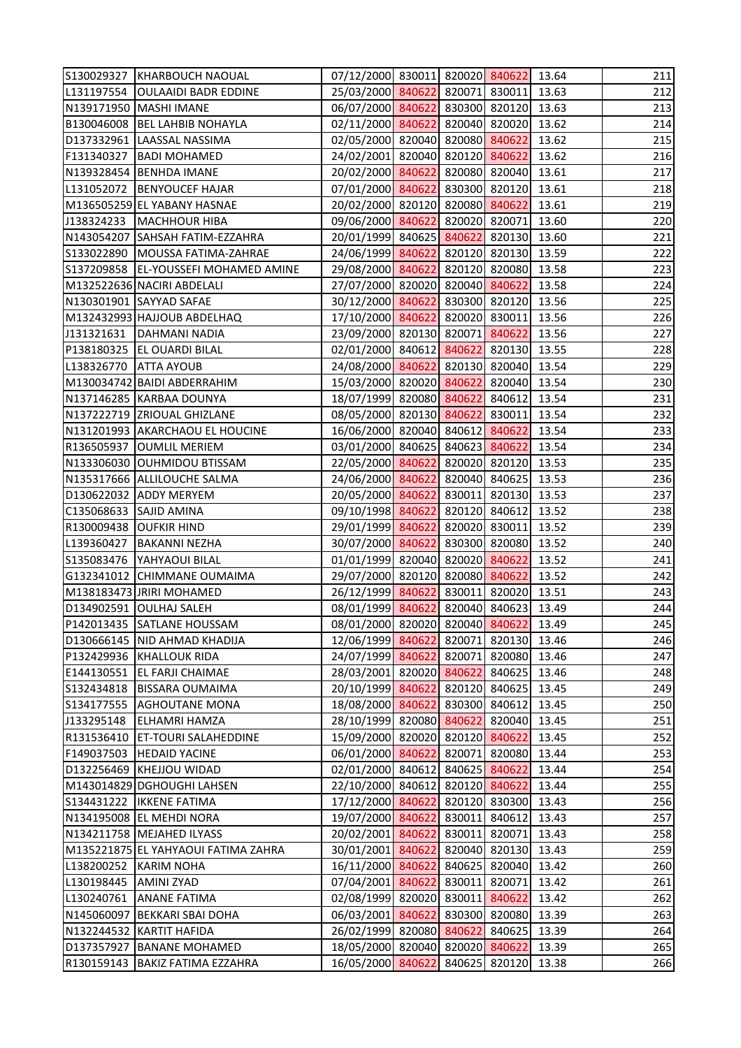|                        | S130029327 KHARBOUCH NAOUAL          | 07/12/2000 830011 820020 840622 13.64 |               |               |       | 211 |
|------------------------|--------------------------------------|---------------------------------------|---------------|---------------|-------|-----|
|                        | L131197554   OULAAIDI BADR EDDINE    | 25/03/2000 840622 820071 830011 13.63 |               |               |       | 212 |
|                        | N139171950   MASHI IMANE             | 06/07/2000 840622 830300 820120 13.63 |               |               |       | 213 |
|                        | B130046008 BEL LAHBIB NOHAYLA        | 02/11/2000 840622 820040 820020 13.62 |               |               |       | 214 |
|                        | D137332961 LAASSAL NASSIMA           | 02/05/2000 820040 820080 840622       |               |               | 13.62 | 215 |
|                        | F131340327   BADI MOHAMED            | 24/02/2001 820040 820120 840622       |               |               | 13.62 | 216 |
|                        | N139328454 BENHDA IMANE              | 20/02/2000 840622 820080 820040 13.61 |               |               |       | 217 |
|                        | L131052072 BENYOUCEF HAJAR           | 07/01/2000 840622 830300 820120       |               |               | 13.61 | 218 |
|                        | M136505259 EL YABANY HASNAE          | 20/02/2000 820120 820080 840622       |               |               | 13.61 | 219 |
|                        | J138324233   MACHHOUR HIBA           | 09/06/2000 840622 820020 820071       |               |               | 13.60 | 220 |
|                        | N143054207 SAHSAH FATIM-EZZAHRA      | 20/01/1999 840625 840622 820130 13.60 |               |               |       | 221 |
|                        | S133022890   MOUSSA FATIMA-ZAHRAE    | 24/06/1999 840622 820120 820130 13.59 |               |               |       | 222 |
|                        | S137209858 EL-YOUSSEFI MOHAMED AMINE | 29/08/2000 840622 820120 820080 13.58 |               |               |       | 223 |
|                        | M132522636 NACIRI ABDELALI           | 27/07/2000 820020 820040 840622       |               |               | 13.58 | 224 |
|                        | N130301901 SAYYAD SAFAE              | 30/12/2000 840622 830300 820120 13.56 |               |               |       | 225 |
|                        | M132432993 HAJJOUB ABDELHAQ          | 17/10/2000 840622 820020 830011       |               |               | 13.56 | 226 |
|                        | J131321631   DAHMANI NADIA           | 23/09/2000 820130 820071 840622 13.56 |               |               |       | 227 |
|                        | P138180325 EL OUARDI BILAL           | 02/01/2000 840612 840622 820130 13.55 |               |               |       | 228 |
| L138326770 ATTA AYOUB  |                                      | 24/08/2000 840622 820130 820040 13.54 |               |               |       | 229 |
|                        | M130034742 BAIDI ABDERRAHIM          | 15/03/2000 820020 840622 820040 13.54 |               |               |       | 230 |
|                        | N137146285 KARBAA DOUNYA             | 18/07/1999 820080 840622 840612 13.54 |               |               |       | 231 |
|                        | N137222719 ZRIOUAL GHIZLANE          | 08/05/2000 820130 840622 830011 13.54 |               |               |       | 232 |
|                        | N131201993 AKARCHAOU EL HOUCINE      | 16/06/2000 820040 840612 840622       |               |               | 13.54 | 233 |
|                        | R136505937 OUMLIL MERIEM             | 03/01/2000 840625 840623 840622       |               |               | 13.54 | 234 |
|                        | N133306030 OUHMIDOU BTISSAM          | 22/05/2000 840622 820020 820120 13.53 |               |               |       | 235 |
|                        | N135317666 ALLILOUCHE SALMA          | 24/06/2000 840622 820040 840625 13.53 |               |               |       | 236 |
|                        | D130622032 ADDY MERYEM               | 20/05/2000 840622 830011 820130 13.53 |               |               |       | 237 |
| C135068633 SAJID AMINA |                                      | 09/10/1998 840622 820120 840612       |               |               | 13.52 | 238 |
|                        | R130009438 OUFKIR HIND               | 29/01/1999 840622 820020 830011       |               |               | 13.52 | 239 |
| L139360427             | <b>BAKANNI NEZHA</b>                 | 30/07/2000 840622 830300 820080 13.52 |               |               |       | 240 |
|                        | S135083476   YAHYAOUI BILAL          | 01/01/1999 820040 820020 840622 13.52 |               |               |       | 241 |
|                        | G132341012 CHIMMANE OUMAIMA          | 29/07/2000 820120 820080 840622 13.52 |               |               |       | 242 |
|                        | M138183473 JRIRI MOHAMED             | 26/12/1999 840622 830011 820020       |               |               | 13.51 | 243 |
|                        | D134902591 OULHAJ SALEH              | 08/01/1999 840622 820040 840623       |               |               | 13.49 | 244 |
|                        | P142013435 SATLANE HOUSSAM           | 08/01/2000 820020 820040 840622       |               |               | 13.49 | 245 |
|                        | D130666145   NID AHMAD KHADIJA       | 12/06/1999 840622 820071 820130       |               |               | 13.46 | 246 |
| P132429936             | <b>KHALLOUK RIDA</b>                 | 24/07/1999 840622 820071 820080       |               |               | 13.46 | 247 |
| E144130551             | <b>EL FARJI CHAIMAE</b>              | 28/03/2001 820020 840622 840625       |               |               | 13.46 | 248 |
| S132434818             | <b>BISSARA OUMAIMA</b>               | 20/10/1999 840622 820120 840625       |               |               | 13.45 | 249 |
| S134177555             | <b>AGHOUTANE MONA</b>                | 18/08/2000 840622 830300 840612       |               |               | 13.45 | 250 |
| J133295148             | <b>ELHAMRI HAMZA</b>                 | 28/10/1999 820080 840622 820040       |               |               | 13.45 | 251 |
| R131536410             | <b>ET-TOURI SALAHEDDINE</b>          | 15/09/2000 820020 820120 840622       |               |               | 13.45 | 252 |
| F149037503             | <b>HEDAID YACINE</b>                 | 06/01/2000 840622                     |               | 820071 820080 | 13.44 | 253 |
|                        | D132256469 KHEJJOU WIDAD             | 02/01/2000 840612 840625 840622       |               |               | 13.44 | 254 |
|                        | M143014829 DGHOUGHI LAHSEN           | 22/10/2000 840612 820120 840622       |               |               | 13.44 | 255 |
| S134431222             | <b>IKKENE FATIMA</b>                 | 17/12/2000 840622                     |               | 820120 830300 | 13.43 | 256 |
|                        | N134195008 EL MEHDI NORA             | 19/07/2000 840622 830011 840612       |               |               | 13.43 | 257 |
|                        | N134211758   MEJAHED ILYASS          | 20/02/2001 840622                     |               | 830011 820071 | 13.43 | 258 |
|                        | M135221875 EL YAHYAOUI FATIMA ZAHRA  | 30/01/2001 840622 820040 820130       |               |               | 13.43 | 259 |
| L138200252             | <b>KARIM NOHA</b>                    | 16/11/2000 840622 840625 820040       |               |               | 13.42 | 260 |
| L130198445             | <b>AMINI ZYAD</b>                    | 07/04/2001 840622                     | 830011 820071 |               | 13.42 | 261 |
| L130240761             | <b>ANANE FATIMA</b>                  | 02/08/1999 820020 830011 840622       |               |               | 13.42 | 262 |
|                        | N145060097 BEKKARI SBAI DOHA         | 06/03/2001 840622                     |               | 830300 820080 | 13.39 | 263 |
|                        | N132244532 KARTIT HAFIDA             | 26/02/1999 820080 840622              |               | 840625        | 13.39 | 264 |
| D137357927             | <b>BANANE MOHAMED</b>                | 18/05/2000 820040 820020 840622       |               |               | 13.39 | 265 |
| R130159143             | BAKIZ FATIMA EZZAHRA                 | 16/05/2000 840622                     |               | 840625 820120 | 13.38 | 266 |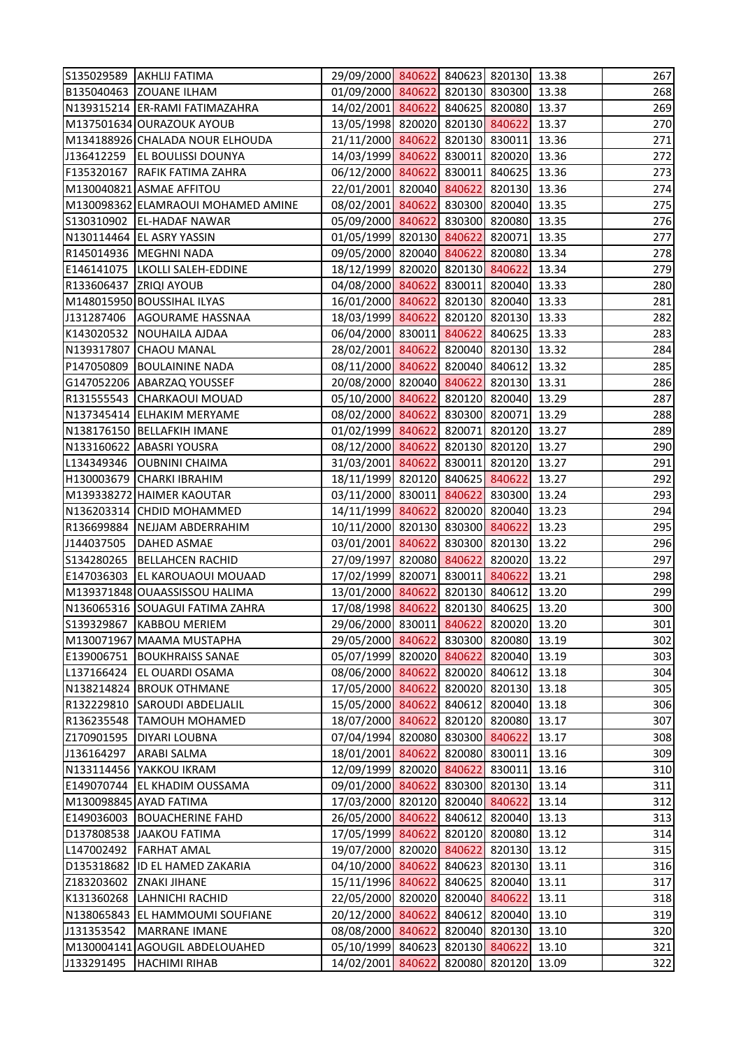|                        | S135029589 AKHLIJ FATIMA           | 29/09/2000 840622 840623 820130 13.38 |               |               |       | 267 |
|------------------------|------------------------------------|---------------------------------------|---------------|---------------|-------|-----|
|                        | B135040463 ZOUANE ILHAM            | 01/09/2000 840622 820130 830300 13.38 |               |               |       | 268 |
|                        | N139315214 ER-RAMI FATIMAZAHRA     | 14/02/2001 840622 840625 820080       |               |               | 13.37 | 269 |
|                        | M137501634 OURAZOUK AYOUB          | 13/05/1998 820020 820130 840622       |               |               | 13.37 | 270 |
|                        | M134188926 CHALADA NOUR ELHOUDA    | 21/11/2000 840622 820130 830011       |               |               | 13.36 | 271 |
|                        | J136412259   EL BOULISSI DOUNYA    | 14/03/1999 840622 830011 820020       |               |               | 13.36 | 272 |
| F135320167             | RAFIK FATIMA ZAHRA                 | 06/12/2000 840622 830011 840625       |               |               | 13.36 | 273 |
|                        | M130040821 ASMAE AFFITOU           | 22/01/2001 820040 840622 820130       |               |               | 13.36 | 274 |
|                        | M130098362 ELAMRAOUI MOHAMED AMINE | 08/02/2001 840622 830300 820040       |               |               | 13.35 | 275 |
|                        | S130310902   EL-HADAF NAWAR        | 05/09/2000 840622 830300 820080       |               |               | 13.35 | 276 |
|                        | N130114464 EL ASRY YASSIN          | 01/05/1999 820130 840622 820071       |               |               | 13.35 | 277 |
|                        | R145014936  MEGHNI NADA            | 09/05/2000 820040 840622 820080       |               |               | 13.34 | 278 |
|                        | E146141075  LKOLLI SALEH-EDDINE    | 18/12/1999 820020 820130 840622       |               |               | 13.34 | 279 |
| R133606437 ZRIQI AYOUB |                                    | 04/08/2000 840622 830011 820040 13.33 |               |               |       | 280 |
|                        | M148015950 BOUSSIHAL ILYAS         | 16/01/2000 840622 820130 820040 13.33 |               |               |       | 281 |
| J131287406             | AGOURAME HASSNAA                   | 18/03/1999 840622 820120 820130       |               |               | 13.33 | 282 |
|                        | K143020532 NOUHAILA AJDAA          | 06/04/2000 830011 840622 840625       |               |               | 13.33 | 283 |
|                        | N139317807 CHAOU MANAL             | 28/02/2001 840622 820040 820130       |               |               | 13.32 | 284 |
| P147050809             | <b>BOULAININE NADA</b>             | 08/11/2000 840622 820040 840612       |               |               | 13.32 | 285 |
|                        | G147052206 ABARZAQ YOUSSEF         | 20/08/2000 820040 840622 820130 13.31 |               |               |       | 286 |
|                        | R131555543 CHARKAOUI MOUAD         | 05/10/2000 840622 820120 820040       |               |               | 13.29 | 287 |
|                        | N137345414 ELHAKIM MERYAME         | 08/02/2000 840622 830300 820071       |               |               | 13.29 | 288 |
|                        | N138176150 BELLAFKIH IMANE         | 01/02/1999 840622 820071 820120       |               |               | 13.27 | 289 |
|                        | N133160622 ABASRI YOUSRA           | 08/12/2000 840622 820130 820120       |               |               | 13.27 | 290 |
|                        | L134349346   OUBNINI CHAIMA        | 31/03/2001 840622 830011 820120       |               |               | 13.27 | 291 |
|                        | H130003679 CHARKI IBRAHIM          | 18/11/1999 820120 840625 840622       |               |               | 13.27 | 292 |
|                        | M139338272 HAIMER KAOUTAR          | 03/11/2000 830011 840622 830300       |               |               | 13.24 | 293 |
|                        | N136203314 CHDID MOHAMMED          | 14/11/1999 840622 820020 820040       |               |               | 13.23 | 294 |
| R136699884             | NEJJAM ABDERRAHIM                  | 10/11/2000 820130 830300 840622       |               |               | 13.23 | 295 |
| J144037505             | <b>DAHED ASMAE</b>                 | 03/01/2001 840622 830300 820130       |               |               | 13.22 | 296 |
| S134280265             | <b>BELLAHCEN RACHID</b>            | 27/09/1997 820080 840622 820020 13.22 |               |               |       | 297 |
| E147036303             | <b>EL KAROUAOUI MOUAAD</b>         | 17/02/1999 820071 830011 840622 13.21 |               |               |       | 298 |
|                        | M139371848 OUAASSISSOU HALIMA      | 13/01/2000 840622 820130 840612       |               |               | 13.20 | 299 |
|                        | N136065316 SOUAGUI FATIMA ZAHRA    | 17/08/1998 840622 820130 840625       |               |               | 13.20 | 300 |
| S139329867             | <b>KABBOU MERIEM</b>               | 29/06/2000 830011 840622 820020       |               |               | 13.20 | 301 |
|                        | M130071967 MAAMA MUSTAPHA          | 29/05/2000 840622                     | 830300 820080 |               | 13.19 | 302 |
| E139006751             | <b>BOUKHRAISS SANAE</b>            | 05/07/1999 820020 840622 820040       |               |               | 13.19 | 303 |
| L137166424             | <b>EL OUARDI OSAMA</b>             | 08/06/2000 840622                     |               | 820020 840612 | 13.18 | 304 |
|                        | N138214824 BROUK OTHMANE           | 17/05/2000 840622                     | 820020 820130 |               | 13.18 | 305 |
| R132229810             | <b>SAROUDI ABDELJALIL</b>          | 15/05/2000 840622                     | 840612 820040 |               | 13.18 | 306 |
| R136235548             | <b>TAMOUH MOHAMED</b>              | 18/07/2000 840622                     | 820120 820080 |               | 13.17 | 307 |
| Z170901595             | <b>DIYARI LOUBNA</b>               | 07/04/1994 820080 830300 840622       |               |               | 13.17 | 308 |
| J136164297             | <b>ARABI SALMA</b>                 | 18/01/2001 840622                     |               | 820080 830011 | 13.16 | 309 |
|                        | N133114456 YAKKOU IKRAM            | 12/09/1999 820020 840622 830011       |               |               | 13.16 | 310 |
| E149070744             | <b>EL KHADIM OUSSAMA</b>           | 09/01/2000 840622                     | 830300 820130 |               | 13.14 | 311 |
|                        | M130098845 AYAD FATIMA             | 17/03/2000 820120 820040 840622       |               |               | 13.14 | 312 |
| E149036003             | <b>BOUACHERINE FAHD</b>            | 26/05/2000 840622 840612 820040       |               |               | 13.13 | 313 |
|                        | D137808538 JAAKOU FATIMA           | 17/05/1999 840622                     | 820120 820080 |               | 13.12 | 314 |
| L147002492             | <b>FARHAT AMAL</b>                 | 19/07/2000 820020 840622 820130       |               |               | 13.12 | 315 |
| D135318682             | <b>ID EL HAMED ZAKARIA</b>         | 04/10/2000 840622                     |               | 840623 820130 | 13.11 | 316 |
| Z183203602             | <b>ZNAKI JIHANE</b>                | 15/11/1996 840622                     |               | 840625 820040 | 13.11 | 317 |
| K131360268             | <b>LAHNICHI RACHID</b>             | 22/05/2000 820020 820040 840622       |               |               | 13.11 | 318 |
|                        | N138065843  EL HAMMOUMI SOUFIANE   | 20/12/2000 840622                     |               | 840612 820040 | 13.10 | 319 |
| J131353542             | <b>MARRANE IMANE</b>               | 08/08/2000 840622                     | 820040 820130 |               | 13.10 | 320 |
|                        | M130004141 AGOUGIL ABDELOUAHED     | 05/10/1999 840623 820130 840622       |               |               | 13.10 | 321 |
| J133291495             | <b>HACHIMI RIHAB</b>               | 14/02/2001 840622                     |               | 820080 820120 | 13.09 | 322 |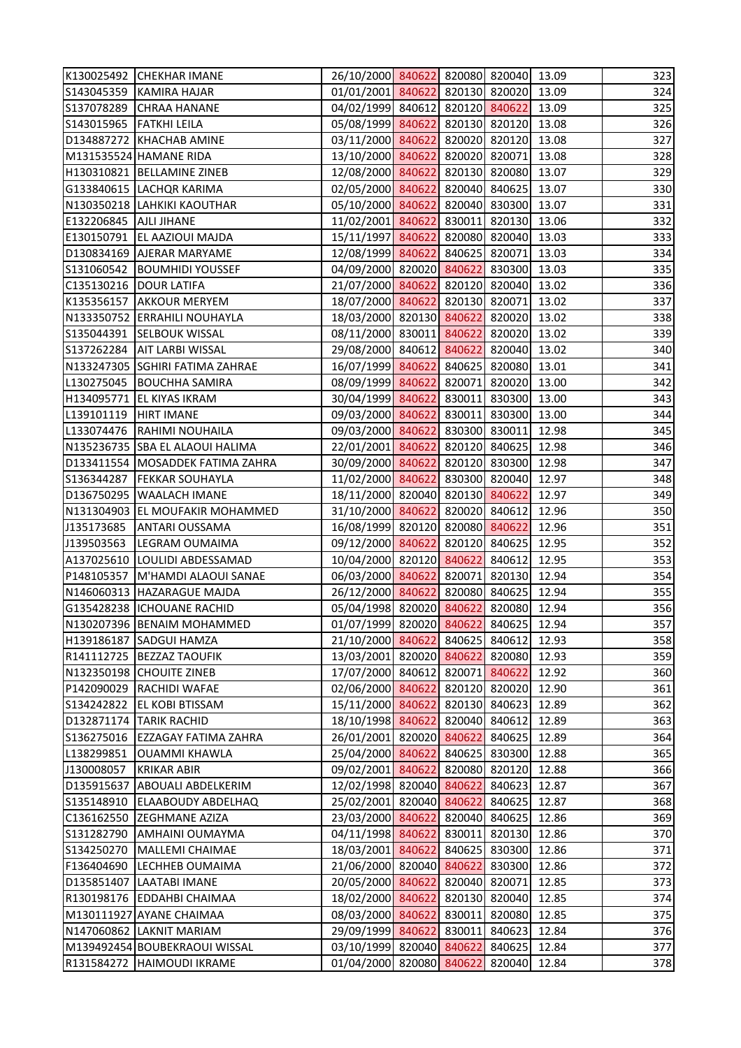|                         | K130025492 CHEKHAR IMANE         | 26/10/2000 840622 820080 820040 13.09 |               |               |       | 323 |
|-------------------------|----------------------------------|---------------------------------------|---------------|---------------|-------|-----|
|                         | S143045359 KAMIRA HAJAR          | 01/01/2001 840622 820130 820020 13.09 |               |               |       | 324 |
|                         | S137078289 CHRAA HANANE          | 04/02/1999 840612 820120 840622       |               |               | 13.09 | 325 |
| S143015965 FATKHI LEILA |                                  | 05/08/1999 840622 820130 820120 13.08 |               |               |       | 326 |
|                         | D134887272 KHACHAB AMINE         | 03/11/2000 840622 820020 820120 13.08 |               |               |       | 327 |
|                         | M131535524 HAMANE RIDA           | 13/10/2000 840622 820020 820071       |               |               | 13.08 | 328 |
|                         | H130310821 BELLAMINE ZINEB       | 12/08/2000 840622 820130 820080 13.07 |               |               |       | 329 |
|                         | G133840615 LACHQR KARIMA         | 02/05/2000 840622 820040 840625 13.07 |               |               |       | 330 |
|                         | N130350218 LAHKIKI KAOUTHAR      | 05/10/2000 840622 820040 830300 13.07 |               |               |       | 331 |
| E132206845 AJLI JIHANE  |                                  | 11/02/2001 840622 830011 820130 13.06 |               |               |       | 332 |
|                         | E130150791 EL AAZIOUI MAJDA      | 15/11/1997 840622 820080 820040 13.03 |               |               |       | 333 |
|                         | D130834169 AJERAR MARYAME        | 12/08/1999 840622 840625 820071 13.03 |               |               |       | 334 |
|                         | S131060542  BOUMHIDI YOUSSEF     | 04/09/2000 820020 840622 830300 13.03 |               |               |       | 335 |
| C135130216  DOUR LATIFA |                                  | 21/07/2000 840622 820120 820040 13.02 |               |               |       | 336 |
|                         | K135356157 AKKOUR MERYEM         | 18/07/2000 840622 820130 820071 13.02 |               |               |       | 337 |
|                         | N133350752 ERRAHILI NOUHAYLA     | 18/03/2000 820130 840622 820020 13.02 |               |               |       | 338 |
|                         | S135044391 SELBOUK WISSAL        | 08/11/2000 830011 840622 820020 13.02 |               |               |       | 339 |
|                         | S137262284 AIT LARBI WISSAL      | 29/08/2000 840612 840622 820040 13.02 |               |               |       | 340 |
|                         | N133247305 SGHIRI FATIMA ZAHRAE  | 16/07/1999 840622 840625 820080 13.01 |               |               |       | 341 |
|                         | L130275045   BOUCHHA SAMIRA      | 08/09/1999 840622 820071 820020 13.00 |               |               |       | 342 |
|                         | H134095771 EL KIYAS IKRAM        | 30/04/1999 840622 830011 830300 13.00 |               |               |       | 343 |
| L139101119   HIRT IMANE |                                  | 09/03/2000 840622 830011 830300 13.00 |               |               |       | 344 |
|                         | L133074476 RAHIMI NOUHAILA       | 09/03/2000 840622 830300 830011       |               |               | 12.98 | 345 |
|                         | N135236735 SBA EL ALAOUI HALIMA  | 22/01/2001 840622 820120 840625       |               |               | 12.98 | 346 |
|                         | D133411554 MOSADDEK FATIMA ZAHRA | 30/09/2000 840622 820120 830300 12.98 |               |               |       | 347 |
|                         | S136344287   FEKKAR SOUHAYLA     | 11/02/2000 840622 830300 820040       |               |               | 12.97 | 348 |
|                         | D136750295   WAALACH IMANE       | 18/11/2000 820040 820130 840622       |               |               | 12.97 | 349 |
|                         | N131304903 EL MOUFAKIR MOHAMMED  | 31/10/2000 840622 820020 840612       |               |               | 12.96 | 350 |
| J135173685              | <b>ANTARI OUSSAMA</b>            | 16/08/1999 820120 820080 840622       |               |               | 12.96 | 351 |
| J139503563              | <b>LEGRAM OUMAIMA</b>            | 09/12/2000 840622 820120 840625 12.95 |               |               |       | 352 |
|                         | A137025610 LOULIDI ABDESSAMAD    | 10/04/2000 820120 840622 840612 12.95 |               |               |       | 353 |
|                         | P148105357 M'HAMDI ALAOUI SANAE  | 06/03/2000 840622 820071 820130 12.94 |               |               |       | 354 |
|                         | N146060313 HAZARAGUE MAJDA       | 26/12/2000 840622 820080 840625       |               |               | 12.94 | 355 |
|                         | G135428238 ICHOUANE RACHID       | 05/04/1998 820020 840622 820080       |               |               | 12.94 | 356 |
|                         | N130207396 BENAIM MOHAMMED       | 01/07/1999 820020 840622 840625       |               |               | 12.94 | 357 |
| H139186187              | <b>SADGUI HAMZA</b>              | 21/10/2000 840622                     |               | 840625 840612 | 12.93 | 358 |
|                         | R141112725   BEZZAZ TAOUFIK      | 13/03/2001 820020 840622 820080       |               |               | 12.93 | 359 |
|                         | N132350198 CHOUITE ZINEB         | 17/07/2000 840612                     | 820071 840622 |               | 12.92 | 360 |
| P142090029              | <b>RACHIDI WAFAE</b>             | 02/06/2000 840622                     |               | 820120 820020 | 12.90 | 361 |
| S134242822              | <b>EL KOBI BTISSAM</b>           | 15/11/2000 840622 820130 840623       |               |               | 12.89 | 362 |
| D132871174              | <b>TARIK RACHID</b>              | 18/10/1998 840622                     |               | 820040 840612 | 12.89 | 363 |
| S136275016              | <b>EZZAGAY FATIMA ZAHRA</b>      | 26/01/2001 820020 840622 840625       |               |               | 12.89 | 364 |
| L138299851              | <b>OUAMMI KHAWLA</b>             | 25/04/2000 840622                     |               | 840625 830300 | 12.88 | 365 |
| J130008057              | <b>KRIKAR ABIR</b>               | 09/02/2001 840622                     |               | 820080 820120 | 12.88 | 366 |
| D135915637              | <b>ABOUALI ABDELKERIM</b>        | 12/02/1998 820040 840622 840623       |               |               | 12.87 | 367 |
| S135148910              | <b>ELAABOUDY ABDELHAQ</b>        | 25/02/2001 820040 840622 840625       |               |               | 12.87 | 368 |
| C136162550              | <b>ZEGHMANE AZIZA</b>            | 23/03/2000 840622 820040 840625       |               |               | 12.86 | 369 |
| S131282790              | <b>AMHAINI OUMAYMA</b>           | 04/11/1998 840622                     |               | 830011 820130 | 12.86 | 370 |
| S134250270              | MALLEMI CHAIMAE                  | 18/03/2001 840622 840625 830300       |               |               | 12.86 | 371 |
| F136404690              | <b>LECHHEB OUMAIMA</b>           | 21/06/2000 820040 840622 830300       |               |               | 12.86 | 372 |
| D135851407              | LAATABI IMANE                    | 20/05/2000 840622 820040 820071       |               |               | 12.85 | 373 |
|                         | R130198176 EDDAHBI CHAIMAA       | 18/02/2000 840622 820130 820040       |               |               | 12.85 | 374 |
|                         | M130111927 AYANE CHAIMAA         | 08/03/2000 840622                     |               | 830011 820080 | 12.85 | 375 |
|                         | N147060862 LAKNIT MARIAM         | 29/09/1999 840622                     |               | 830011 840623 | 12.84 | 376 |
|                         | M139492454 BOUBEKRAOUI WISSAL    | 03/10/1999 820040 840622 840625       |               |               | 12.84 | 377 |
| R131584272              | <b>HAIMOUDI IKRAME</b>           | 01/04/2000 820080 840622 820040       |               |               | 12.84 | 378 |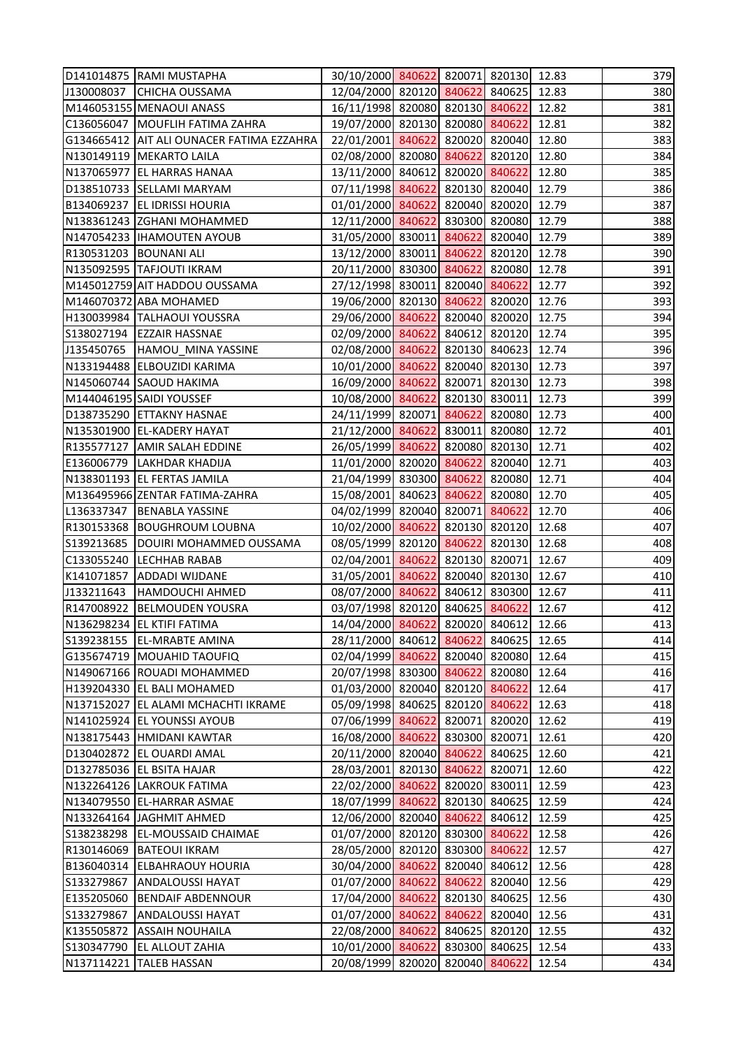|            | D141014875 RAMI MUSTAPHA                  | 30/10/2000 840622 820071 820130 12.83 |               |               |       | 379 |
|------------|-------------------------------------------|---------------------------------------|---------------|---------------|-------|-----|
| J130008037 | <b>CHICHA OUSSAMA</b>                     | 12/04/2000 820120 840622 840625 12.83 |               |               |       | 380 |
|            | M146053155 MENAOUI ANASS                  | 16/11/1998 820080 820130 840622       |               |               | 12.82 | 381 |
|            | C136056047   MOUFLIH FATIMA ZAHRA         | 19/07/2000 820130 820080 840622       |               |               | 12.81 | 382 |
|            | G134665412 AIT ALI OUNACER FATIMA EZZAHRA | 22/01/2001 840622 820020 820040 12.80 |               |               |       | 383 |
|            | N130149119   MEKARTO LAILA                | 02/08/2000 820080 840622 820120 12.80 |               |               |       | 384 |
|            | N137065977 EL HARRAS HANAA                | 13/11/2000 840612 820020 840622       |               |               | 12.80 | 385 |
|            | D138510733 SELLAMI MARYAM                 | 07/11/1998 840622 820130 820040 12.79 |               |               |       | 386 |
|            | B134069237 EL IDRISSI HOURIA              | 01/01/2000 840622 820040 820020 12.79 |               |               |       | 387 |
|            | N138361243 ZGHANI MOHAMMED                | 12/11/2000 840622 830300 820080 12.79 |               |               |       | 388 |
|            | N147054233   IHAMOUTEN AYOUB              | 31/05/2000 830011 840622 820040 12.79 |               |               |       | 389 |
|            | R130531203 BOUNANI ALI                    | 13/12/2000 830011 840622 820120 12.78 |               |               |       | 390 |
|            | N135092595 TAFJOUTI IKRAM                 | 20/11/2000 830300 840622 820080 12.78 |               |               |       | 391 |
|            | M145012759 AIT HADDOU OUSSAMA             | 27/12/1998 830011 820040 840622       |               |               | 12.77 | 392 |
|            | M146070372 ABA MOHAMED                    | 19/06/2000 820130 840622 820020 12.76 |               |               |       | 393 |
|            | H130039984 TALHAOUI YOUSSRA               | 29/06/2000 840622 820040 820020 12.75 |               |               |       | 394 |
|            | S138027194 EZZAIR HASSNAE                 | 02/09/2000 840622 840612 820120 12.74 |               |               |       | 395 |
|            | J135450765  HAMOU_MINA YASSINE            | 02/08/2000 840622 820130 840623 12.74 |               |               |       | 396 |
|            | N133194488 ELBOUZIDI KARIMA               | 10/01/2000 840622 820040 820130 12.73 |               |               |       | 397 |
|            | N145060744 SAOUD HAKIMA                   | 16/09/2000 840622 820071 820130 12.73 |               |               |       | 398 |
|            | M144046195 SAIDI YOUSSEF                  | 10/08/2000 840622 820130 830011 12.73 |               |               |       | 399 |
|            | D138735290 ETTAKNY HASNAE                 | 24/11/1999 820071 840622 820080 12.73 |               |               |       | 400 |
|            | N135301900 EL-KADERY HAYAT                | 21/12/2000 840622 830011 820080 12.72 |               |               |       | 401 |
|            | R135577127 AMIR SALAH EDDINE              | 26/05/1999 840622 820080 820130 12.71 |               |               |       | 402 |
|            | E136006779   LAKHDAR KHADIJA              | 11/01/2000 820020 840622 820040 12.71 |               |               |       | 403 |
|            | N138301193 EL FERTAS JAMILA               | 21/04/1999 830300 840622 820080 12.71 |               |               |       | 404 |
|            | M136495966 ZENTAR FATIMA-ZAHRA            | 15/08/2001 840623 840622 820080 12.70 |               |               |       | 405 |
| L136337347 | <b>BENABLA YASSINE</b>                    | 04/02/1999 820040 820071 840622       |               |               | 12.70 | 406 |
|            | R130153368 BOUGHROUM LOUBNA               | 10/02/2000 840622 820130 820120 12.68 |               |               |       | 407 |
| S139213685 | DOUIRI MOHAMMED OUSSAMA                   | 08/05/1999 820120 840622 820130 12.68 |               |               |       | 408 |
|            | C133055240 LECHHAB RABAB                  | 02/04/2001 840622 820130 820071 12.67 |               |               |       | 409 |
| K141071857 | <b>ADDADI WIJDANE</b>                     | 31/05/2001 840622 820040 820130 12.67 |               |               |       | 410 |
| J133211643 | <b>HAMDOUCHI AHMED</b>                    | 08/07/2000 840622 840612 830300       |               |               | 12.67 | 411 |
| R147008922 | <b>BELMOUDEN YOUSRA</b>                   | 03/07/1998 820120 840625 840622       |               |               | 12.67 | 412 |
|            | N136298234 EL KTIFI FATIMA                | 14/04/2000 840622 820020 840612       |               |               | 12.66 | 413 |
| S139238155 | <b>EL-MRABTE AMINA</b>                    | 28/11/2000 840612 840622 840625       |               |               | 12.65 | 414 |
|            | G135674719 MOUAHID TAOUFIQ                | 02/04/1999 840622 820040 820080       |               |               | 12.64 | 415 |
|            | N149067166 ROUADI MOHAMMED                | 20/07/1998 830300 840622 820080       |               |               | 12.64 | 416 |
|            | H139204330 EL BALI MOHAMED                | 01/03/2000 820040 820120 840622       |               |               | 12.64 | 417 |
|            | N137152027 EL ALAMI MCHACHTI IKRAME       | 05/09/1998 840625 820120 840622       |               |               | 12.63 | 418 |
|            | N141025924 EL YOUNSSI AYOUB               | 07/06/1999 840622 820071 820020       |               |               | 12.62 | 419 |
|            | N138175443 HMIDANI KAWTAR                 | 16/08/2000 840622 830300 820071       |               |               | 12.61 | 420 |
|            | D130402872 EL OUARDI AMAL                 | 20/11/2000 820040 840622 840625       |               |               | 12.60 | 421 |
|            | D132785036 EL BSITA HAJAR                 | 28/03/2001 820130 840622 820071       |               |               | 12.60 | 422 |
|            | N132264126 LAKROUK FATIMA                 | 22/02/2000 840622 820020 830011       |               |               | 12.59 | 423 |
|            | N134079550 EL-HARRAR ASMAE                | 18/07/1999 840622 820130 840625       |               |               | 12.59 | 424 |
|            | N133264164 JAGHMIT AHMED                  | 12/06/2000 820040 840622 840612       |               |               | 12.59 | 425 |
| S138238298 | <b>EL-MOUSSAID CHAIMAE</b>                | 01/07/2000 820120 830300 840622       |               |               | 12.58 | 426 |
| R130146069 | <b>BATEOUI IKRAM</b>                      | 28/05/2000 820120 830300 840622       |               |               | 12.57 | 427 |
| B136040314 | <b>ELBAHRAOUY HOURIA</b>                  | 30/04/2000 840622 820040 840612       |               |               | 12.56 | 428 |
| S133279867 | <b>ANDALOUSSI HAYAT</b>                   | 01/07/2000 840622                     | 840622 820040 |               | 12.56 | 429 |
| E135205060 | <b>BENDAIF ABDENNOUR</b>                  | 17/04/2000 840622 820130 840625       |               |               | 12.56 | 430 |
| S133279867 | <b>ANDALOUSSI HAYAT</b>                   | 01/07/2000 840622                     |               | 840622 820040 | 12.56 | 431 |
| K135505872 | <b>ASSAIH NOUHAILA</b>                    | 22/08/2000 840622                     |               | 840625 820120 | 12.55 | 432 |
| S130347790 | <b>EL ALLOUT ZAHIA</b>                    | 10/01/2000 840622                     |               | 830300 840625 | 12.54 | 433 |
| N137114221 | <b>TALEB HASSAN</b>                       | 20/08/1999 820020 820040 840622       |               |               | 12.54 | 434 |